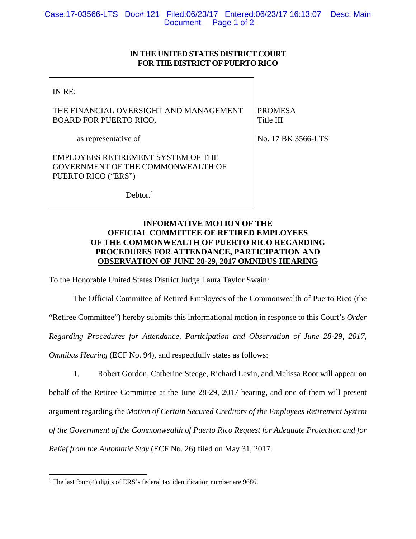## **IN THE UNITED STATES DISTRICT COURT FOR THE DISTRICT OF PUERTO RICO**

3566-LTS

| IN RE:                                                                  |                      |
|-------------------------------------------------------------------------|----------------------|
| THE FINANCIAL OVERSIGHT AND MANAGEMENT<br><b>BOARD FOR PUERTO RICO,</b> | PROMESA<br>Title III |
| as representative of                                                    | No. 17 BK 3          |

EMPLOYEES RETIREMENT SYSTEM OF THE GOVERNMENT OF THE COMMONWEALTH OF PUERTO RICO ("ERS")

 $Dektor.<sup>1</sup>$ 

## **INFORMATIVE MOTION OF THE OFFICIAL COMMITTEE OF RETIRED EMPLOYEES OF THE COMMONWEALTH OF PUERTO RICO REGARDING PROCEDURES FOR ATTENDANCE, PARTICIPATION AND OBSERVATION OF JUNE 28-29, 2017 OMNIBUS HEARING**

To the Honorable United States District Judge Laura Taylor Swain:

The Official Committee of Retired Employees of the Commonwealth of Puerto Rico (the "Retiree Committee") hereby submits this informational motion in response to this Court's *Order Regarding Procedures for Attendance, Participation and Observation of June 28-29, 2017, Omnibus Hearing (ECF No. 94), and respectfully states as follows:* 

1. Robert Gordon, Catherine Steege, Richard Levin, and Melissa Root will appear on behalf of the Retiree Committee at the June 28-29, 2017 hearing, and one of them will present argument regarding the *Motion of Certain Secured Creditors of the Employees Retirement System of the Government of the Commonwealth of Puerto Rico Request for Adequate Protection and for Relief from the Automatic Stay* (ECF No. 26) filed on May 31, 2017.

 <sup>1</sup> The last four (4) digits of ERS's federal tax identification number are 9686.